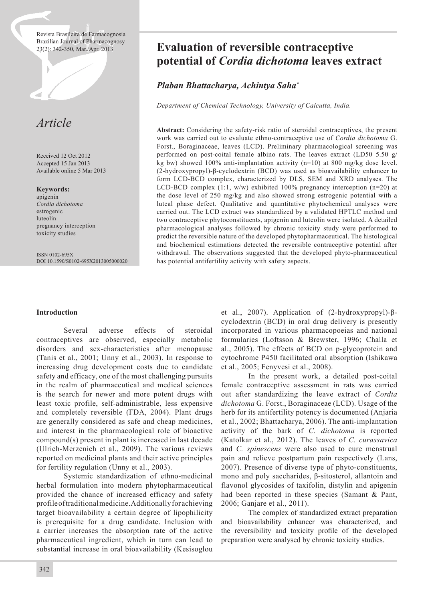Revista Brasileira de Farmacognosia Brazilian Journal of Pharmacognosy<br>23(2): 342-350, Mar./Apr. 2013



Received 12 Oct 2012 Accepted 15 Jan 2013 Available online 5 Mar 2013

**Keywords:**

apigenin *Cordia dichotoma* estrogenic luteolin pregnancy interception toxicity studies

ISSN 0102-695X DOI 10.1590/S0102-695X2013005000020

# Evaluation of reversible contraceptive **potential of** *Cordia dichotoma* **leaves extract**

# *Plaban Bhattacharya, Achintya Saha\**

*Department of Chemical Technology, University of Calcutta, India.*

**Abstract:** Considering the safety-risk ratio of steroidal contraceptives, the present work was carried out to evaluate ethno-contraceptive use of *Cordia dichotoma* G. Forst., Boraginaceae, leaves (LCD). Preliminary pharmacological screening was performed on post-coital female albino rats. The leaves extract (LD50 5.50 g/ kg bw) showed 100% anti-implantation activity (n=10) at 800 mg/kg dose level. (2-hydroxypropyl)-β-cyclodextrin (BCD) was used as bioavailability enhancer to form LCD-BCD complex, characterized by DLS, SEM and XRD analyses. The LCD-BCD complex  $(1:1, w/w)$  exhibited 100% pregnancy interception  $(n=20)$  at the dose level of 250 mg/kg and also showed strong estrogenic potential with a luteal phase defect. Qualitative and quantitative phytochemical analyses were carried out. The LCD extract was standardized by a validated HPTLC method and two contraceptive phytoconstituents, apigenin and luteolin were isolated. A detailed pharmacological analyses followed by chronic toxicity study were performed to predict the reversible nature of the developed phytopharmaceutical. The histological and biochemical estimations detected the reversible contraceptive potential after withdrawal. The observations suggested that the developed phyto-pharmaceutical has potential antifertility activity with safety aspects.

# **Introduction**

 Several adverse effects of steroidal contraceptives are observed, especially metabolic disorders and sex-characteristics after menopause (Tanis et al., 2001; Unny et al., 2003). In response to increasing drug development costs due to candidate safety and efficacy, one of the most challenging pursuits in the realm of pharmaceutical and medical sciences is the search for newer and more potent drugs with least toxic profile, self-administrable, less expensive and completely reversible (FDA, 2004). Plant drugs are generally considered as safe and cheap medicines, and interest in the pharmacological role of bioactive compound(s) present in plant is increased in last decade (Ulrich-Merzenich et al., 2009). The various reviews reported on medicinal plants and their active principles for fertility regulation (Unny et al., 2003).

 Systemic standardization of ethno-medicinal herbal formulation into modern phytopharmaceutical provided the chance of increased efficacy and safety profile of traditional medicine. Additionally for achieving target bioavailability a certain degree of lipophilicity is prerequisite for a drug candidate. Inclusion with a carrier increases the absorption rate of the active pharmaceutical ingredient, which in turn can lead to substantial increase in oral bioavailability (Kesisoglou et al., 2007). Application of (2-hydroxypropyl)-βcyclodextrin (BCD) in oral drug delivery is presently incorporated in various pharmacopoeias and national formularies (Loftsson & Brewster, 1996; Challa et al., 2005). The effects of BCD on p-glycoprotein and cytochrome P450 facilitated oral absorption (Ishikawa et al., 2005; Fenyvesi et al., 2008).

 In the present work, a detailed post-coital female contraceptive assessment in rats was carried out after standardizing the leave extract of *Cordia dichotoma* G. Forst., Boraginaceae (LCD). Usage of the herb for its antifertility potency is documented (Anjaria et al., 2002; Bhattacharya, 2006). The anti-implantation activity of the bark of *C. dichotoma* is reported (Katolkar et al., 2012). The leaves of *C. curassavica* and *C. spinescens* were also used to cure menstrual pain and relieve postpartum pain respectively (Lans, 2007). Presence of diverse type of phyto-constituents, mono and poly saccharides, β-sitosterol, allantoin and flavonol glycosides of taxifolin, distylin and apigenin had been reported in these species (Samant & Pant, 2006; Ganjare et al., 2011).

 The complex of standardized extract preparation and bioavailability enhancer was characterized, and the reversibility and toxicity profile of the developed preparation were analysed by chronic toxicity studies.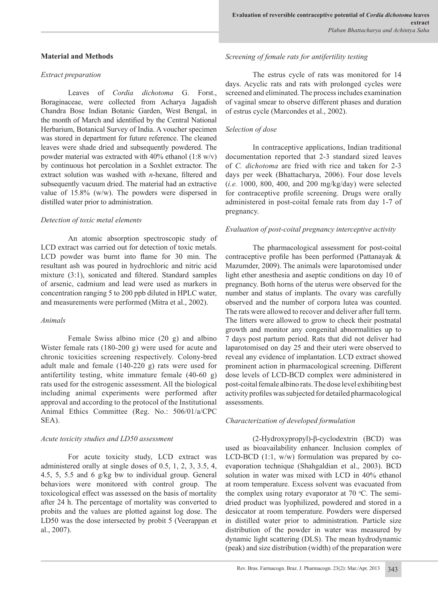## **Material and Methods**

#### *Extract preparation*

 Leaves of *Cordia dichotoma* G. Forst., Boraginaceae, were collected from Acharya Jagadish Chandra Bose Indian Botanic Garden, West Bengal, in the month of March and identified by the Central National Herbarium, Botanical Survey of India. A voucher specimen was stored in department for future reference. The cleaned leaves were shade dried and subsequently powdered. The powder material was extracted with 40% ethanol (1:8 w/v) by continuous hot percolation in a Soxhlet extractor. The extract solution was washed with *n*-hexane, filtered and subsequently vacuum dried. The material had an extractive value of 15.8% (w/w). The powders were dispersed in distilled water prior to administration.

#### *Detection of toxic metal elements*

 An atomic absorption spectroscopic study of LCD extract was carried out for detection of toxic metals. LCD powder was burnt into flame for 30 min. The resultant ash was poured in hydrochloric and nitric acid mixture (3:1), sonicated and filtered. Standard samples of arsenic, cadmium and lead were used as markers in concentration ranging 5 to 200 ppb diluted in HPLC water, and measurements were performed (Mitra et al., 2002).

#### *Animals*

 Female Swiss albino mice (20 g) and albino Wister female rats (180-200 g) were used for acute and chronic toxicities screening respectively. Colony-bred adult male and female (140-220 g) rats were used for antifertility testing, white immature female (40-60 g) rats used for the estrogenic assessment. All the biological including animal experiments were performed after approval and according to the protocol of the Institutional Animal Ethics Committee (Reg. No.: 506/01/a/CPC SEA).

#### *Acute toxicity studies and LD50 assessment*

 For acute toxicity study, LCD extract was administered orally at single doses of 0.5, 1, 2, 3, 3.5, 4, 4.5, 5, 5.5 and 6 g/kg bw to individual group. General behaviors were monitored with control group. The toxicological effect was assessed on the basis of mortality after 24 h. The percentage of mortality was converted to probits and the values are plotted against log dose. The LD50 was the dose intersected by probit 5 (Veerappan et al., 2007).

### *Screening of female rats for antifertility testing*

 The estrus cycle of rats was monitored for 14 days. Acyclic rats and rats with prolonged cycles were screened and eliminated. The process includes examination of vaginal smear to observe different phases and duration of estrus cycle (Marcondes et al., 2002).

### *Selection of dose*

 In contraceptive applications, Indian traditional documentation reported that 2-3 standard sized leaves of *C. dichotoma* are fried with rice and taken for 2-3 days per week (Bhattacharya, 2006). Four dose levels (*i.e.* 1000, 800, 400, and 200 mg/kg/day) were selected for contraceptive profile screening. Drugs were orally administered in post-coital female rats from day 1-7 of pregnancy.

## *Evaluation of post-coital pregnancy interceptive activity*

 The pharmacological assessment for post-coital contraceptive profile has been performed (Pattanayak & Mazumder, 2009). The animals were laparotomised under light ether anesthesia and aseptic conditions on day 10 of pregnancy. Both horns of the uterus were observed for the number and status of implants. The ovary was carefully observed and the number of corpora lutea was counted. The rats were allowed to recover and deliver after full term. The litters were allowed to grow to check their postnatal growth and monitor any congenital abnormalities up to 7 days post partum period. Rats that did not deliver had laparotomised on day 25 and their uteri were observed to reveal any evidence of implantation. LCD extract showed prominent action in pharmacological screening. Different dose levels of LCD-BCD complex were administered in post-coital female albino rats. The dose level exhibiting best activity profiles was subjected for detailed pharmacological assessments.

#### *Characterization of developed formulation*

 (2-Hydroxypropyl)-β-cyclodextrin (BCD) was used as bioavailability enhancer. Inclusion complex of LCD-BCD (1:1, w/w) formulation was prepared by coevaporation technique (Shahgaldian et al., 2003). BCD solution in water was mixed with LCD in 40% ethanol at room temperature. Excess solvent was evacuated from the complex using rotary evaporator at  $70^{\circ}$ C. The semidried product was lyophilized, powdered and stored in a desiccator at room temperature. Powders were dispersed in distilled water prior to administration. Particle size distribution of the powder in water was measured by dynamic light scattering (DLS). The mean hydrodynamic (peak) and size distribution (width) of the preparation were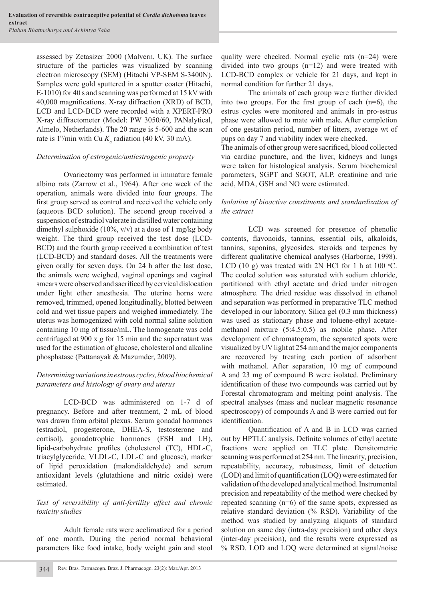assessed by Zetasizer 2000 (Malvern, UK). The surface structure of the particles was visualized by scanning electron microscopy (SEM) (Hitachi VP-SEM S-3400N). Samples were gold sputtered in a sputter coater (Hitachi, E-1010) for 40 s and scanning was performed at 15 kV with 40,000 magnifications. X-ray diffraction (XRD) of BCD, LCD and LCD-BCD were recorded with a XPERT-PRO X-ray diffractometer (Model: PW 3050/60, PANalytical, Almelo, Netherlands). The 2θ range is 5-600 and the scan rate is  $1^{\circ}/\text{min}$  with Cu  $K_{\alpha}$  radiation (40 kV, 30 mA).

## *Determination of estrogenic/antiestrogenic property*

 Ovariectomy was performed in immature female albino rats (Zarrow et al., 1964). After one week of the operation, animals were divided into four groups. The first group served as control and received the vehicle only (aqueous BCD solution). The second group received a suspension of estradiol valerate in distilled water containing dimethyl sulphoxide (10%,  $v/v$ ) at a dose of 1 mg/kg body weight. The third group received the test dose (LCD-BCD) and the fourth group received a combination of test (LCD-BCD) and standard doses. All the treatments were given orally for seven days. On 24 h after the last dose, the animals were weighed, vaginal openings and vaginal smears were observed and sacrificed by cervical dislocation under light ether anesthesia. The uterine horns were removed, trimmed, opened longitudinally, blotted between cold and wet tissue papers and weighed immediately. The uterus was homogenized with cold normal saline solution containing 10 mg of tissue/mL. The homogenate was cold centrifuged at 900 x *g* for 15 min and the supernatant was used for the estimation of glucose, cholesterol and alkaline phosphatase (Pattanayak & Mazumder, 2009).

# *Determining variations in estrous cycles, blood biochemical parameters and histology of ovary and uterus*

 LCD-BCD was administered on 1-7 d of pregnancy. Before and after treatment, 2 mL of blood was drawn from orbital plexus. Serum gonadal hormones (estradiol, progesterone, DHEA-S, testosterone and cortisol), gonadotrophic hormones (FSH and LH), lipid-carbohydrate profiles (cholesterol (TC), HDL-C, triacylglyceride, VLDL-C, LDL-C and glucose), marker of lipid peroxidation (malondialdehyde) and serum antioxidant levels (glutathione and nitric oxide) were estimated.

# *Test of reversibility of anti-fertility effect and chronic toxicity studies*

 Adult female rats were acclimatized for a period of one month. During the period normal behavioral parameters like food intake, body weight gain and stool quality were checked. Normal cyclic rats (n=24) were divided into two groups (n=12) and were treated with LCD-BCD complex or vehicle for 21 days, and kept in normal condition for further 21 days.

 The animals of each group were further divided into two groups. For the first group of each  $(n=6)$ , the estrus cycles were monitored and animals in pro-estrus phase were allowed to mate with male. After completion of one gestation period, number of litters, average wt of pups on day 7 and viability index were checked.

The animals of other group were sacrificed, blood collected via cardiac puncture, and the liver, kidneys and lungs were taken for histological analysis. Serum biochemical parameters, SGPT and SGOT, ALP, creatinine and uric acid, MDA, GSH and NO were estimated.

# *Isolation of bioactive constituents and standardization of the extract*

 LCD was screened for presence of phenolic contents, flavonoids, tannins, essential oils, alkaloids, tannins, saponins, glycosides, steroids and terpenes by different qualitative chemical analyses (Harborne, 1998). LCD (10 g) was treated with 2N HCl for 1 h at 100  $\degree$ C. The cooled solution was saturated with sodium chloride, partitioned with ethyl acetate and dried under nitrogen atmosphere. The dried residue was dissolved in ethanol and separation was performed in preparative TLC method developed in our laboratory. Silica gel (0.3 mm thickness) was used as stationary phase and toluene-ethyl acetatemethanol mixture (5:4.5:0.5) as mobile phase. After development of chromatogram, the separated spots were visualized by UV light at 254 nm and the major components are recovered by treating each portion of adsorbent with methanol. After separation, 10 mg of compound A and 23 mg of compound B were isolated. Preliminary identification of these two compounds was carried out by Forestal chromatogram and melting point analysis. The spectral analyses (mass and nuclear magnetic resonance spectroscopy) of compounds A and B were carried out for identification.

 Quantification of A and B in LCD was carried out by HPTLC analysis. Definite volumes of ethyl acetate fractions were applied on TLC plate. Densitometric scanning was performed at 254 nm. The linearity, precision, repeatability, accuracy, robustness, limit of detection (LOD) and limit of quantification (LOQ) were estimated for validation of the developed analytical method. Instrumental precision and repeatability of the method were checked by repeated scanning (n=6) of the same spots, expressed as relative standard deviation (% RSD). Variability of the method was studied by analyzing aliquots of standard solution on same day (intra-day precision) and other days (inter-day precision), and the results were expressed as % RSD. LOD and LOQ were determined at signal/noise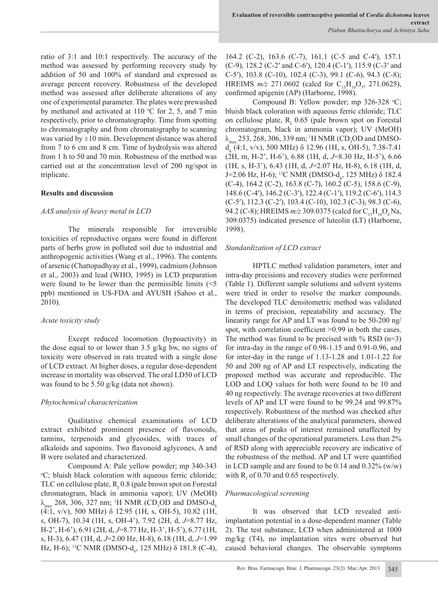ratio of 3:1 and 10:1 respectively. The accuracy of the method was assessed by performing recovery study by addition of 50 and 100% of standard and expressed as average percent recovery. Robustness of the developed method was assessed after deliberate alterations of any one of experimental parameter. The plates were prewashed by methanol and activated at 110  $\mathrm{C}$  for 2, 5, and 7 min respectively, prior to chromatography. Time from spotting to chromatography and from chromatography to scanning was varied by  $\pm 10$  min. Development distance was altered from 7 to 6 cm and 8 cm. Time of hydrolysis was altered from 1 h to 50 and 70 min. Robustness of the method was carried out at the concentration level of 200 ng/spot in triplicate.

## **Results and discussion**

### *AAS analysis of heavy metal in LCD*

 The minerals responsible for irreversible toxicities of reproductive organs were found in different parts of herbs grow in polluted soil due to industrial and anthropogenic activities (Wang et al., 1996). The contents of arsenic (Chattopadhyay et al., 1999), cadmium (Johnson et al., 2003) and lead (WHO, 1995) in LCD preparation were found to be lower than the permissible limits  $\leq 5$ ppb) mentioned in US-FDA and AYUSH (Sahoo et al., 2010).

#### *Acute toxicity study*

 Except reduced locomotion (hypoactivity) in the dose equal to or lower than 3.5 g/kg bw, no signs of toxicity were observed in rats treated with a single dose of LCD extract. At higher doses, a regular dose-dependent increase in mortality was observed. The oral LD50 of LCD was found to be 5.50 g/kg (data not shown).

#### *Phytochemical characterization*

 Qualitative chemical examinations of LCD extract exhibited prominent presence of flavonoids, tannins, terpenoids and glycosides, with traces of alkaloids and saponins. Two flavonoid aglycones, A and B were isolated and characterized.

 Compound A: Pale yellow powder; mp 340-343 o C; bluish black coloration with aqueous ferric chloride; TLC on cellulose plate,  $R_f$  0.8 (pale brown spot on Forestal chromatogram, black in ammonia vapor); UV (MeOH)  $\lambda_{\text{max}}$  268, 306, 327 nm; <sup>1</sup>H NMR (CD<sub>3</sub>OD and DMSO-d<sub>6</sub> (4:1, v/v), 500 MHz) δ 12.95 (1H, s, OH-5), 10.82 (1H, s, OH-7), 10.34 (1H, s, OH-4'), 7.92 (2H, d, *J*=8.77 Hz, H-2', H-6'), 6.91 (2H, d, *J*=8.77 Hz, H-3', H-5'), 6.77 (1H, s, H-3), 6.47 (1H, d, *J*=2.00 Hz, H-8), 6.18 (1H, d, *J*=1.99 Hz, H-6); <sup>13</sup>C NMR (DMSO-d<sub>6</sub>, 125 MHz) δ 181.8 (C-4),

164.2 (C-2), 163.6 (C-7), 161.1 (C-5 and C-4′), 157.1 (C-9), 128.2 (C-2′ and C-6′), 120.4 (C-1′), 115.9 (C-3′ and C-5′), 103.8 (C-10), 102.4 (C-3), 99.1 (C-6), 94.3 (C-8); HREIMS  $m/z$  271.0602 (calcd for C<sub>15</sub>H<sub>10</sub>O<sub>5</sub>, 271.0625), confirmed apigenin (AP) (Harborne, 1998).

Compound B: Yellow powder; mp  $326-328$  °C; bluish black coloration with aqueous ferric chloride; TLC on cellulose plate,  $R_f$  0.65 (pale brown spot on Forestal chromatogram, black in ammonia vapor); UV (MeOH)  $\lambda_{\text{max}}$  253, 268, 306, 339 nm; <sup>1</sup>H NMR (CD<sub>3</sub>OD and DMSO $d<sub>6</sub>$  (4:1, v/v), 500 MHz) δ 12.96 (1H, s, OH-5), 7.38-7.41 (2H, m, H-2', H-6'), 6.88 (1H, d, *J*=8.30 Hz, H-5'), 6.66 (1H, s, H-3'), 6.43 (1H, d, *J*=2.07 Hz, H-8), 6.18 (1H, d, J=2.06 Hz, H-6); <sup>13</sup>C NMR (DMSO-d<sub>6</sub>, 125 MHz) δ 182.4 (C-4), 164.2 (C-2), 163.8 (C-7), 160.2 (C-5), 158.6 (C-9), 148.6 (C-4′), 146.2 (C-3′), 122.4 (C-1′), 119.2 (C-6′), 114.3 (C-5′), 112.3 (C-2′), 103.4 (C-10), 102.3 (C-3), 98.3 (C-6), 94.2 (C-8); HREIMS  $m/z$  309.0375 (calcd for C<sub>15</sub>H<sub>10</sub>O<sub>6</sub>Na, 309.0375) indicated presence of luteolin (LT) (Harborne, 1998).

#### *Standardization of LCD extract*

 HPTLC method validation parameters, inter and intra-day precisions and recovery studies were performed (Table 1). Different sample solutions and solvent systems were tried in order to resolve the marker compounds. The developed TLC densitometric method was validated in terms of precision, repeatability and accuracy. The linearity range for AP and LT was found to be 50-200 ng/ spot, with correlation coefficient  $>0.99$  in both the cases. The method was found to be precised with  $\%$  RSD (n=3) for intra-day in the range of 0.98-1.15 and 0.91-0.96, and for inter-day in the range of 1.13-1.28 and 1.01-1.22 for 50 and 200 ng of AP and LT respectively, indicating the proposed method was accurate and reproducible. The LOD and LOQ values for both were found to be 10 and 40 ng respectively. The average recoveries at two different levels of AP and LT were found to be 99.24 and 99.87% respectively. Robustness of the method was checked after deliberate alterations of the analytical parameters, showed that areas of peaks of interest remained unaffected by small changes of the operational parameters. Less than 2% of RSD along with appreciable recovery are indicative of the robustness of the method. AP and LT were quantified in LCD sample and are found to be 0.14 and 0.32% (w/w) with  $R_f$  of 0.70 and 0.65 respectively.

## *Pharmacological screening*

 It was observed that LCD revealed antiimplantation potential in a dose-dependent manner (Table 2). The test substance, LCD when administered at 1000 mg/kg (T4), no implantation sites were observed but caused behavioral changes. The observable symptoms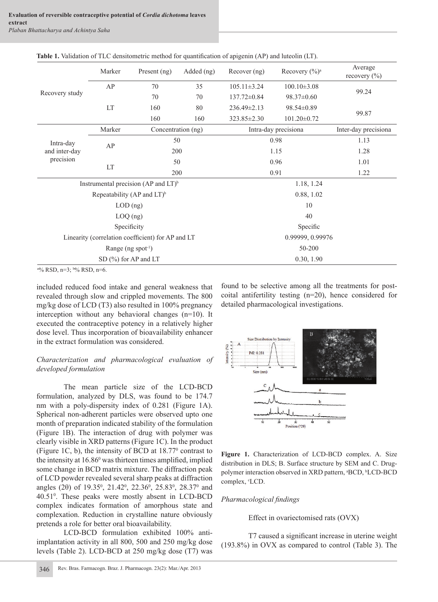| Recovery study          | Marker                                    | Present (ng)                                      | Added (ng)         | Recover (ng)                          | Recovery (%) <sup>a</sup> | Average<br>recovery $(\% )$ |  |  |  |
|-------------------------|-------------------------------------------|---------------------------------------------------|--------------------|---------------------------------------|---------------------------|-----------------------------|--|--|--|
|                         | AP                                        | 70                                                | 35                 | $105.11 \pm 3.24$                     | $100.10\pm3.08$           | 99.24                       |  |  |  |
|                         |                                           | 70                                                | 70                 | $137.72 \pm 0.84$<br>$98.37 \pm 0.60$ |                           |                             |  |  |  |
|                         | LT                                        | 160                                               | 80                 | 236.49±2.13                           | 98.54±0.89                | 99.87                       |  |  |  |
|                         |                                           | 160                                               | 160                | 323.85 ± 2.30                         | $101.20 \pm 0.72$         |                             |  |  |  |
|                         | Marker                                    |                                                   | Concentration (ng) |                                       | Intra-day precisiona      |                             |  |  |  |
| Intra-day               | AP                                        | 50                                                |                    | 0.98                                  | 1.13                      |                             |  |  |  |
| and inter-day           |                                           |                                                   | 200                | 1.15                                  | 1.28                      |                             |  |  |  |
| precision               |                                           | 50                                                |                    | 0.96                                  | 1.01                      |                             |  |  |  |
|                         | LT                                        |                                                   | 200                | 0.91                                  | 1.22                      |                             |  |  |  |
|                         |                                           | Instrumental precision (AP and LT) <sup>b</sup>   |                    |                                       | 1.18, 1.24                |                             |  |  |  |
|                         | Repeatability (AP and $LT$ ) <sup>b</sup> |                                                   |                    | 0.88, 1.02                            |                           |                             |  |  |  |
|                         | $LOD$ (ng)                                |                                                   |                    | 10                                    |                           |                             |  |  |  |
|                         | $LOQ$ (ng)                                |                                                   |                    | 40                                    |                           |                             |  |  |  |
|                         | Specificity                               |                                                   |                    | Specific                              |                           |                             |  |  |  |
|                         |                                           | Linearity (correlation coefficient) for AP and LT |                    | 0.99999, 0.99976                      |                           |                             |  |  |  |
|                         | Range ( $ng$ spot <sup>-1</sup> )         |                                                   |                    | 50-200                                |                           |                             |  |  |  |
|                         | SD $(\% )$ for AP and LT                  |                                                   |                    | 0.30, 1.90                            |                           |                             |  |  |  |
| <b>A 1019 Page 2019</b> |                                           |                                                   |                    |                                       |                           |                             |  |  |  |

**Table 1.** Validation of TLC densitometric method for quantification of apigenin (AP) and luteolin (LT).

a % RSD, n=3; b % RSD, n=6.

included reduced food intake and general weakness that revealed through slow and crippled movements. The 800 mg/kg dose of LCD (T3) also resulted in 100% pregnancy interception without any behavioral changes (n=10). It executed the contraceptive potency in a relatively higher dose level. Thus incorporation of bioavailability enhancer in the extract formulation was considered.

# *Characterization and pharmacological evaluation of developed formulation*

 The mean particle size of the LCD-BCD formulation, analyzed by DLS, was found to be 174.7 nm with a poly-dispersity index of 0.281 (Figure 1A). Spherical non-adherent particles were observed upto one month of preparation indicated stability of the formulation (Figure 1B). The interaction of drug with polymer was clearly visible in XRD patterns (Figure 1C). In the product (Figure 1C, b), the intensity of BCD at 18.770 contrast to the intensity at 16.86<sup>0</sup> was thirteen times amplified, implied some change in BCD matrix mixture. The diffraction peak of LCD powder revealed several sharp peaks at diffraction angles (2θ) of 19.35<sup>0</sup>, 21.42<sup>0</sup>, 22.36<sup>0</sup>, 25.83<sup>0</sup>, 28.37<sup>0</sup> and 40.510 . These peaks were mostly absent in LCD-BCD complex indicates formation of amorphous state and complexation. Reduction in crystalline nature obviously pretends a role for better oral bioavailability.

 LCD-BCD formulation exhibited 100% antiimplantation activity in all 800, 500 and 250 mg/kg dose levels (Table 2). LCD-BCD at 250 mg/kg dose (T7) was found to be selective among all the treatments for postcoital antifertility testing (n=20), hence considered for detailed pharmacological investigations.



**Figure 1.** Characterization of LCD-BCD complex. A. Size distribution in DLS; B. Surface structure by SEM and C. Drugpolymer interaction observed in XRD pattern, <sup>a</sup>BCD, <sup>b</sup>LCD-BCD complex, <sup>c</sup>LCD.

# *Pharmacological fi ndings*

Effect in ovariectomised rats (OVX)

T7 caused a significant increase in uterine weight (193.8%) in OVX as compared to control (Table 3). The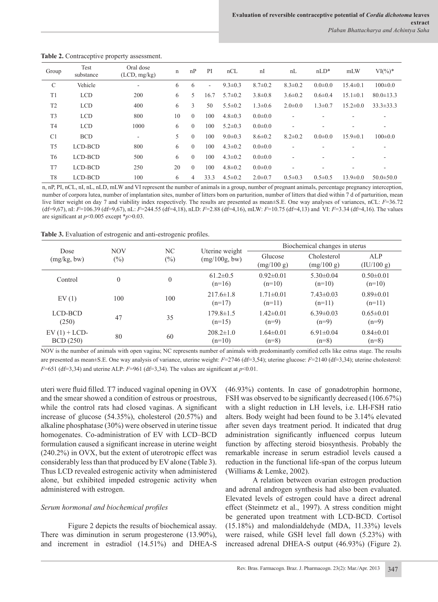| Group          | Test<br>substance | Oral dose<br>(LCD, mg/kg) | n  | nP           | PI                       | nCL           | nI            | nL                       | $nLD*$        | mLW            | $VI(\%)^*$      |
|----------------|-------------------|---------------------------|----|--------------|--------------------------|---------------|---------------|--------------------------|---------------|----------------|-----------------|
| C              | Vehicle           | ۰                         | 6  | 6            | $\overline{\phantom{a}}$ | $9.3 \pm 0.3$ | $8.7 \pm 0.2$ | $8.3 \pm 0.2$            | $0.0 \pm 0.0$ | $15.4 \pm 0.1$ | $100 \pm 0.0$   |
| T1             | <b>LCD</b>        | 200                       | 6  | 5            | 16.7                     | $5.7 \pm 0.2$ | $3.8 \pm 0.8$ | $3.6 \pm 0.2$            | $0.6 \pm 0.4$ | $15.1 \pm 0.1$ | $80.0 \pm 13.3$ |
| T <sub>2</sub> | <b>LCD</b>        | 400                       | 6  | 3            | 50                       | $5.5 \pm 0.2$ | $1.3 \pm 0.6$ | $2.0 \pm 0.0$            | $1.3 \pm 0.7$ | $15.2 \pm 0.0$ | $33.3 \pm 33.3$ |
| T <sub>3</sub> | <b>LCD</b>        | 800                       | 10 | $\theta$     | 100                      | $4.8 \pm 0.3$ | $0.0 \pm 0.0$ | $\overline{\phantom{a}}$ |               |                | ٠               |
| T <sub>4</sub> | <b>LCD</b>        | 1000                      | 6  | $\mathbf{0}$ | 100                      | $5.2 \pm 0.3$ | $0.0 \pm 0.0$ | ۰                        |               |                | ۰               |
| C <sub>1</sub> | <b>BCD</b>        | ۰                         | 5  | $\theta$     | 100                      | $9.0 \pm 0.3$ | $8.6 \pm 0.2$ | $8.2 \pm 0.2$            | $0.0 \pm 0.0$ | $15.9 \pm 0.1$ | $100 \pm 0.0$   |
| T <sub>5</sub> | LCD-BCD           | 800                       | 6  | $\Omega$     | 100                      | $4.3 \pm 0.2$ | $0.0 \pm 0.0$ | ٠                        |               |                |                 |
| T <sub>6</sub> | LCD-BCD           | 500                       | 6  | $\Omega$     | 100                      | $4.3 \pm 0.2$ | $0.0 \pm 0.0$ | $\overline{\phantom{a}}$ |               |                | ۰               |
| T7             | LCD-BCD           | 250                       | 20 | $\Omega$     | 100                      | $4.8 \pm 0.2$ | $0.0 \pm 0.0$ | ٠                        |               | -              | ٠               |
| T <sub>8</sub> | LCD-BCD           | 100                       | 6  | 4            | 33.3                     | $4.5 \pm 0.2$ | $2.0 \pm 0.7$ | $0.5 \pm 0.3$            | $0.5 \pm 0.5$ | $13.9 \pm 0.0$ | $50.0 \pm 50.0$ |

**Table 2.** Contraceptive property assessment.

n, nP, PI, nCL, nI, nL, nLD, mLW and VI represent the number of animals in a group, number of pregnant animals, percentage pregnancy interception, number of corpora lutea, number of implantation sites, number of litters born on parturition, number of litters that died within 7 d of parturition, mean live litter weight on day 7 and viability index respectively. The results are presented as mean±S.E. One way analyses of variances, nCL: *F*=36.72 (df=9,67), nI: *F*=106.39 (df=9,67), nL: *F*=244.55 (df=4,18), nLD: *F*=2.88 (df=4,16), mLW: *F*=10.75 (df=4,13) and VI: *F*=3.34 (df=4,16). The values are significant at *p*<0.005 except \**p*>0.03.

**Table 3.** Evaluation of estrogenic and anti-estrogenic profiles.

| Dose                               | <b>NOV</b><br>$(\%)$ | NC<br>$(\%)$     | Uterine weight              | Biochemical changes in uterus |                             |                             |  |
|------------------------------------|----------------------|------------------|-----------------------------|-------------------------------|-----------------------------|-----------------------------|--|
| (mg/kg, bw)                        |                      |                  | (mg/100g, bw)               | Glucose<br>(mg/100 g)         | Cholesterol<br>(mg/100 g)   | ALP<br>(IU/100 g)           |  |
| Control                            | $\boldsymbol{0}$     | $\boldsymbol{0}$ | $61.2 \pm 0.5$<br>$(n=16)$  | $0.92\pm0.01$<br>$(n=10)$     | $5.30\pm0.04$<br>$(n=10)$   | $0.50 \pm 0.01$<br>$(n=10)$ |  |
| EV(1)                              | 100                  | 100              | $217.6 \pm 1.8$<br>$(n=17)$ | $1.71 \pm 0.01$<br>$(n=11)$   | $7.43 \pm 0.03$<br>$(n=11)$ | $0.89 \pm 0.01$<br>$(n=11)$ |  |
| LCD-BCD<br>(250)                   | 47                   | 35               | $179.8 \pm 1.5$<br>$(n=15)$ | $1.42 \pm 0.01$<br>$(n=9)$    | $6.39\pm0.03$<br>$(n=9)$    | $0.65 \pm 0.01$<br>$(n=9)$  |  |
| $EV(1) + LCD-$<br><b>BCD</b> (250) | 80                   | 60               | $208.2 \pm 1.0$<br>$(n=10)$ | $1.64 \pm 0.01$<br>$(n=8)$    | $6.91 \pm 0.04$<br>$(n=8)$  | $0.84 \pm 0.01$<br>$(n=8)$  |  |

NOV is the number of animals with open vagina; NC represents number of animals with predominantly cornified cells like estrus stage. The results are presented as mean±S.E. One way analysis of variance, uterine weight: *F*=2746 (df=3,54); uterine glucose: *F*=2140 (df=3,34); uterine cholesterol:  $F=651$  (df=3,34) and uterine ALP:  $F=961$  (df=3,34). The values are significant at  $p<0.01$ .

uteri were fluid filled. T7 induced vaginal opening in OVX and the smear showed a condition of estrous or proestrous, while the control rats had closed vaginas. A significant increase of glucose (54.35%), cholesterol (20.57%) and alkaline phosphatase (30%) were observed in uterine tissue homogenates. Co-administration of EV with LCD–BCD formulation caused a significant increase in uterine weight (240.2%) in OVX, but the extent of uterotropic effect was considerably less than that produced by EV alone (Table 3). Thus LCD revealed estrogenic activity when administered alone, but exhibited impeded estrogenic activity when administered with estrogen.

# *Serum hormonal and biochemical profiles*

 Figure 2 depicts the results of biochemical assay. There was diminution in serum progesterone (13.90%), and increment in estradiol (14.51%) and DHEA-S (46.93%) contents. In case of gonadotrophin hormone, FSH was observed to be significantly decreased (106.67%) with a slight reduction in LH levels, i.e. LH-FSH ratio alters. Body weight had been found to be 3.14% elevated after seven days treatment period. It indicated that drug administration significantly influenced corpus luteum function by affecting steroid biosynthesis. Probably the remarkable increase in serum estradiol levels caused a reduction in the functional life-span of the corpus luteum (Williams & Lemke, 2002).

 A relation between ovarian estrogen production and adrenal androgen synthesis had also been evaluated. Elevated levels of estrogen could have a direct adrenal effect (Steinmetz et al., 1997). A stress condition might be generated upon treatment with LCD-BCD. Cortisol (15.18%) and malondialdehyde (MDA, 11.33%) levels were raised, while GSH level fall down (5.23%) with increased adrenal DHEA-S output (46.93%) (Figure 2).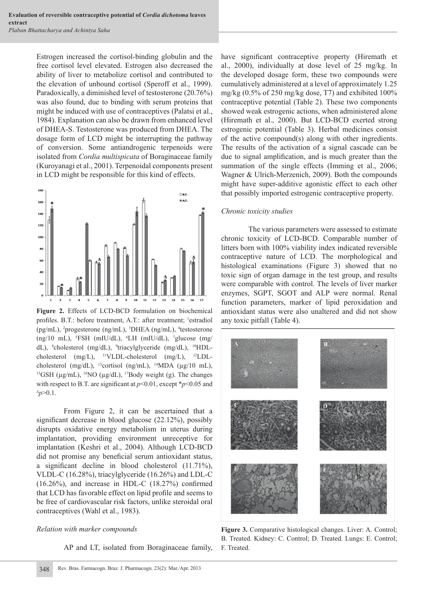Estrogen increased the cortisol-binding globulin and the free cortisol level elevated. Estrogen also decreased the ability of liver to metabolize cortisol and contributed to the elevation of unbound cortisol (Speroff et al., 1999). Paradoxically, a diminished level of testosterone (20.76%) was also found, due to binding with serum proteins that might be induced with use of contraceptives (Palatsi et al., 1984). Explanation can also be drawn from enhanced level of DHEA-S. Testosterone was produced from DHEA. The dosage form of LCD might be interrupting the pathway of conversion. Some antiandrogenic terpenoids were isolated from *Cordia multispicata* of Boraginaceae family (Kuroyanagi et al., 2001). Terpenoidal components present in LCD might be responsible for this kind of effects.



**Figure 2.** Effects of LCD-BCD formulation on biochemical profiles. B.T.: before treatment, A.T.: after treatment; <sup>1</sup>estradiol (pg/mL), <sup>2</sup>progesterone (ng/mL), <sup>3</sup>DHEA (ng/mL), <sup>4</sup>testosterone  $(ng/10 \text{ mL})$ , <sup>5</sup>FSH (mIU/dL), <sup>6</sup>LH (mIU/dL), <sup>7</sup>glucose (mg/ dL), 8 cholesterol (mg/dL), 9 triacylglyceride (mg/dL), 10HDLcholesterol (mg/L), 11VLDL-cholesterol (mg/L), 12LDLcholesterol (mg/dL), 13cortisol (ng/mL), 14MDA (μg/10 mL), <sup>15</sup>GSH (μg/mL), <sup>16</sup>NO (μg/dL), <sup>17</sup>Body weight (g). The changes with respect to B.T. are significant at  $p<0.01$ , except \* $p<0.05$  and <sup>∆</sup>*p*>0.1.

 From Figure 2, it can be ascertained that a significant decrease in blood glucose  $(22.12\%)$ , possibly disrupts oxidative energy metabolism in uterus during implantation, providing environment unreceptive for implantation (Keshri et al., 2004). Although LCD-BCD did not promise any beneficial serum antioxidant status, a significant decline in blood cholesterol  $(11.71\%)$ , VLDL-C (16.28%), triacylglyceride (16.26%) and LDL-C  $(16.26\%)$ , and increase in HDL-C  $(18.27\%)$  confirmed that LCD has favorable effect on lipid profile and seems to be free of cardiovascular risk factors, unlike steroidal oral contraceptives (Wahl et al., 1983).

# *Relation with marker compounds*

AP and LT, isolated from Boraginaceae family,

have significant contraceptive property (Hiremath et al., 2000), individually at dose level of 25 mg/kg. In the developed dosage form, these two compounds were cumulatively administered at a level of approximately 1.25 mg/kg (0.5% of 250 mg/kg dose, T7) and exhibited 100% contraceptive potential (Table 2). These two components showed weak estrogenic actions, when administered alone (Hiremath et al., 2000). But LCD-BCD exerted strong estrogenic potential (Table 3). Herbal medicines consist of the active compound(s) along with other ingredients. The results of the activation of a signal cascade can be due to signal amplification, and is much greater than the summation of the single effects (Imming et al., 2006; Wagner & Ulrich-Merzenich, 2009). Both the compounds might have super-additive agonistic effect to each other that possibly imported estrogenic contraceptive property.

## *Chronic toxicity studies*

 The various parameters were assessed to estimate chronic toxicity of LCD-BCD. Comparable number of litters born with 100% viability index indicated reversible contraceptive nature of LCD. The morphological and histological examinations (Figure 3) showed that no toxic sign of organ damage in the test group, and results were comparable with control. The levels of liver marker enzymes, SGPT, SGOT and ALP were normal. Renal function parameters, marker of lipid peroxidation and antioxidant status were also unaltered and did not show any toxic pitfall (Table 4).



**Figure 3.** Comparative histological changes. Liver: A. Control; B. Treated. Kidney: C. Control; D. Treated. Lungs: E. Control; F. Treated.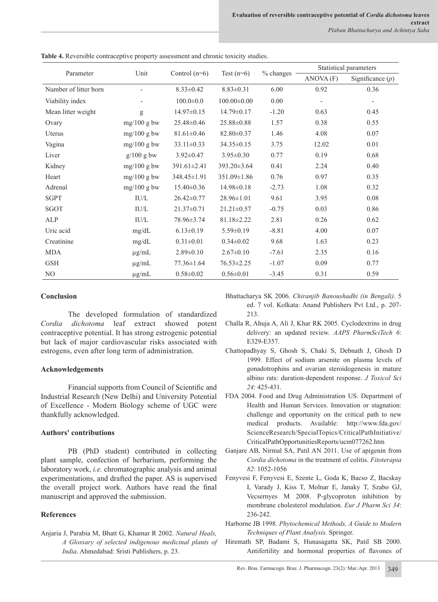|                       |               |                   |                   |             | Statistical parameters   |                    |  |
|-----------------------|---------------|-------------------|-------------------|-------------|--------------------------|--------------------|--|
| Parameter             | Unit          | Control $(n=6)$   | Test $(n=6)$      | $%$ changes | ANOVA(F)                 | Significance $(p)$ |  |
| Number of litter born |               | $8.33 \pm 0.42$   | $8.83 \pm 0.31$   | 6.00        | 0.92                     | 0.36               |  |
| Viability index       |               | $100.0 \pm 0.0$   | $100.00 \pm 0.00$ | 0.00        | $\overline{\phantom{m}}$ | $\qquad \qquad -$  |  |
| Mean litter weight    | g             | $14.97 \pm 0.15$  | $14.79 \pm 0.17$  | $-1.20$     | 0.63                     | 0.45               |  |
| Ovary                 | $mg/100$ g bw | $25.48 \pm 0.46$  | 25.88±0.88        | 1.57        | 0.38                     | 0.55               |  |
| Uterus                | $mg/100$ g bw | $81.61 \pm 0.46$  | $82.80 \pm 0.37$  | 1.46        | 4.08                     | 0.07               |  |
| Vagina                | $mg/100$ g bw | $33.11 \pm 0.33$  | 34.35 ± 0.15      | 3.75        | 12.02                    | 0.01               |  |
| Liver                 | $g/100$ g bw  | $3.92 \pm 0.47$   | $3.95 \pm 0.30$   | 0.77        | 0.19                     | 0.68               |  |
| Kidney                | $mg/100$ g bw | $391.61 \pm 2.41$ | 393.20±3.64       | 0.41        | 2.24                     | 0.40               |  |
| Heart                 | $mg/100$ g bw | 348.45±1.91       | 351.09±1.86       | 0.76        | 0.97                     | 0.35               |  |
| Adrenal               | $mg/100$ g bw | $15.40 \pm 0.36$  | $14.98 \pm 0.18$  | $-2.73$     | 1.08                     | 0.32               |  |
| <b>SGPT</b>           | IU/L          | $26.42 \pm 0.77$  | 28.96±1.01        | 9.61        | 3.95                     | 0.08               |  |
| SGOT                  | IU/L          | $21.37 \pm 0.71$  | $21.21 \pm 0.57$  | $-0.75$     | 0.03                     | 0.86               |  |
| ALP                   | IU/L          | 78.96±3.74        | $81.18 \pm 2.22$  | 2.81        | 0.26                     | 0.62               |  |
| Uric acid             | mg/dL         | $6.13 \pm 0.19$   | $5.59 \pm 0.19$   | $-8.81$     | 4.00                     | 0.07               |  |
| Creatinine            | mg/dL         | $0.31 \pm 0.01$   | $0.34 \pm 0.02$   | 9.68        | 1.63                     | 0.23               |  |
| <b>MDA</b>            | $\mu$ g/mL    | $2.89 \pm 0.10$   | $2.67 \pm 0.10$   | $-7.61$     | 2.35                     | 0.16               |  |
| <b>GSH</b>            | $\mu$ g/mL    | $77.36 \pm 1.64$  | $76.53 \pm 2.25$  | $-1.07$     | 0.09                     | 0.77               |  |
| N <sub>O</sub>        | $\mu$ g/mL    | $0.58 \pm 0.02$   | $0.56 \pm 0.01$   | $-3.45$     | 0.31                     | 0.59               |  |

**Table 4.** Reversible contraceptive property assessment and chronic toxicity studies.

## **Conclusion**

 The developed formulation of standardized *Cordia dichotoma* leaf extract showed potent contraceptive potential. It has strong estrogenic potential but lack of major cardiovascular risks associated with estrogens, even after long term of administration.

# **Acknowledgements**

 Financial supports from Council of Scientific and Industrial Research (New Delhi) and University Potential of Excellence - Modern Biology scheme of UGC were thankfully acknowledged.

# **Authors' contributions**

 PB (PhD student) contributed in collecting plant sample, confection of herbarium, performing the laboratory work, *i.e.* chromatographic analysis and animal experimentations, and drafted the paper. AS is supervised the overall project work. Authors have read the final manuscript and approved the submission.

# **References**

Anjaria J, Parabia M, Bhatt G, Khamar R 2002. *Natural Heals, A Glossary of selected indigenous medicinal plants of India*. Ahmedabad: Sristi Publishers, p. 23.

Bhattacharya SK 2006. *Chiranjib Banoushadhi (in Bengali)*. 5 ed. 7 vol. Kolkata: Anand Publishers Pvt Ltd., p. 207- 213.

- Challa R, Ahuja A, Ali J, Khar RK 2005. Cyclodextrins in drug delivery: an updated review. *AAPS PharmSciTech 6*: E329-E357.
- Chattopadhyay S, Ghosh S, Chaki S, Debnath J, Ghosh D 1999. Effect of sodium arsenite on plasma levels of gonadotrophins and ovarian steroidogenesis in mature albino rats: duration-dependent response. *J Toxicol Sci 24*: 425-431.
- FDA 2004. Food and Drug Administration US. Department of Health and Human Services. Innovation or stagnation: challenge and opportunity on the critical path to new medical products. Available: http://www.fda.gov/ ScienceResearch/SpecialTopics/CriticalPathInitiative/ CriticalPathOpportunitiesReports/ucm077262.htm
- Ganjare AB, Nirmal SA, Patil AN 2011. Use of apigenin from *Cordia dichotoma* in the treatment of colitis. *Fitoterapia 82*: 1052-1056
- Fenyvesi F, Fenyvesi E, Szente L, Goda K, Bacso Z, Bacskay I, Varady J, Kiss T, Molnar E, Janaky T, Szabo GJ, Vecsernyes M 2008. P-glycoproten inhibition by membrane cholesterol modulation. *Eur J Pharm Sci 34*: 236-242.
- Harborne JB 1998. *Phytochemical Methods, A Guide to Modern Techniques of Plant Analysis.* Springer.
- Hiremath SP, Badami S, Hunasagatta SK, Patil SB 2000. Antifertility and hormonal properties of flavones of